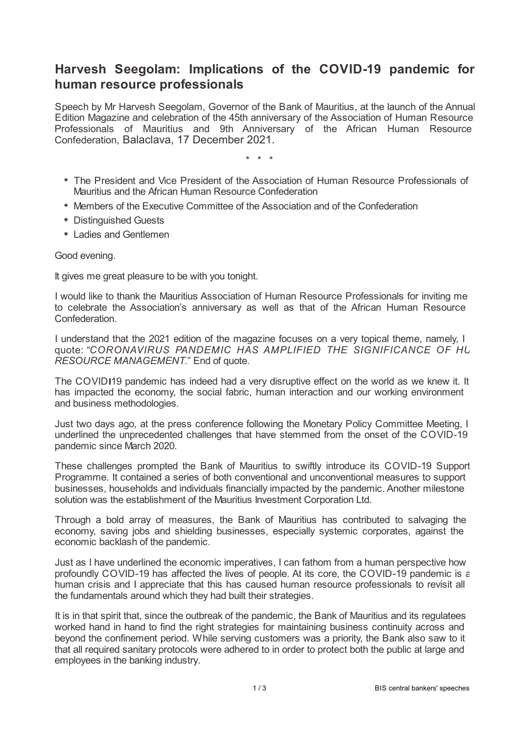## **Harvesh Seegolam: Implications of the COVID-19 pandemic for human resource professionals**

Speech by Mr Harvesh Seegolam, Governor of the Bank of Mauritius, at the launch of the Annual Edition Magazine and celebration of the 45th anniversary of the Association of Human Resource Professionals of Mauritius and 9th Anniversary of the African Human Resource Confederation, Balaclava, 17 December 2021.

\* \* \*

- The President and Vice President of the Association of Human Resource Professionals of Mauritius and the African Human Resource Confederation
- Members of the Executive Committee of the Association and of the Confederation
- Distinguished Guests
- Ladies and Gentlemen

Good evening.

It gives me great pleasure to be with you tonight.

I would like to thank the Mauritius Association of Human Resource Professionals for inviting me to celebrate the Association's anniversary as well as that of the African Human Resource Confederation.

I understand that the 2021 edition of the magazine focuses on a very topical theme, namely, I quote: "CORONAVIRUS PANDEMIC HAS AMPLIFIED THE SIGNIFICANCE OF HU *RESOURCE MANAGEMENT.*" End of quote.

The COVIDI19 pandemic has indeed had a very disruptive effect on the world as we knew it. It has impacted the economy, the social fabric, human interaction and our working environment and business methodologies.

Just two days ago, at the press conference following the Monetary Policy Committee Meeting, I underlined the unprecedented challenges that have stemmed from the onset of the COVID-19 pandemic since March 2020.

These challenges prompted the Bank of Mauritius to swiftly introduce its COVID-19 Support Programme. It contained a series of both conventional and unconventional measures to support businesses, households and individuals financially impacted by the pandemic. Another milestone solution was the establishment of the Mauritius Investment Corporation Ltd.

Through a bold array of measures, the Bank of Mauritius has contributed to salvaging the economy, saving jobs and shielding businesses, especially systemic corporates, against the economic backlash of the pandemic.

Just as I have underlined the economic imperatives, I can fathom from a human perspective how profoundly COVID-19 has affected the lives of people. At its core, the COVID-19 pandemic is a human crisis and I appreciate that this has caused human resource professionals to revisit all the fundamentals around which they had built their strategies.

It is in that spirit that, since the outbreak of the pandemic, the Bank of Mauritius and its regulatees worked hand in hand to find the right strategies for maintaining business continuity across and beyond the confinement period. While serving customers was a priority, the Bank also saw to it that all required sanitary protocols were adhered to in order to protect both the public at large and employees in the banking industry.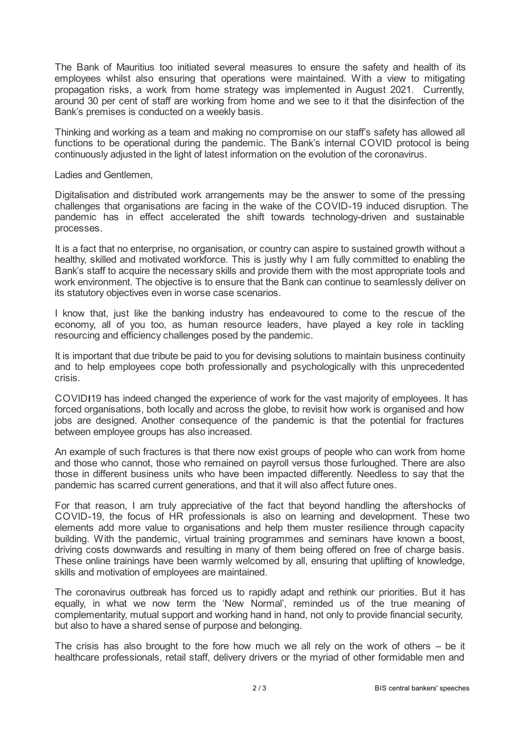The Bank of Mauritius too initiated several measures to ensure the safety and health of its employees whilst also ensuring that operations were maintained. With a view to mitigating propagation risks, a work from home strategy was implemented in August 2021. Currently, around 30 per cent of staff are working from home and we see to it that the disinfection of the Bank's premises is conducted on a weekly basis.

Thinking and working as a team and making no compromise on our staff's safety has allowed all functions to be operational during the pandemic. The Bank's internal COVID protocol is being continuously adjusted in the light of latest information on the evolution of the coronavirus.

Ladies and Gentlemen,

Digitalisation and distributed work arrangements may be the answer to some of the pressing challenges that organisations are facing in the wake of the COVID-19 induced disruption. The pandemic has in effect accelerated the shift towards technology-driven and sustainable processes.

It is a fact that no enterprise, no organisation, or country can aspire to sustained growth without a healthy, skilled and motivated workforce. This is justly why I am fully committed to enabling the Bank's staff to acquire the necessary skills and provide them with the most appropriate tools and work environment. The objective is to ensure that the Bank can continue to seamlessly deliver on its statutory objectives even in worse case scenarios.

I know that, just like the banking industry has endeavoured to come to the rescue of the economy, all of you too, as human resource leaders, have played a key role in tackling resourcing and efficiency challenges posed by the pandemic.

It is important that due tribute be paid to you for devising solutions to maintain business continuity and to help employees cope both professionally and psychologically with this unprecedented crisis.

COVID 19 has indeed changed the experience of work for the vast majority of employees. It has forced organisations, both locally and across the globe, to revisit how work is organised and how jobs are designed. Another consequence of the pandemic is that the potential for fractures between employee groups has also increased.

An example of such fractures is that there now exist groups of people who can work from home and those who cannot, those who remained on payroll versus those furloughed. There are also those in different business units who have been impacted differently. Needless to say that the pandemic has scarred current generations, and that it will also affect future ones.

For that reason, I am truly appreciative of the fact that beyond handling the aftershocks of COVID-19, the focus of HR professionals is also on learning and development. These two elements add more value to organisations and help them muster resilience through capacity building. With the pandemic, virtual training programmes and seminars have known a boost, driving costs downwards and resulting in many of them being offered on free of charge basis. These online trainings have been warmly welcomed by all, ensuring that uplifting of knowledge, skills and motivation of employees are maintained.

The coronavirus outbreak has forced us to rapidly adapt and rethink our priorities. But it has equally, in what we now term the 'New Normal', reminded us of the true meaning of complementarity, mutual support and working hand in hand, not only to provide financial security, but also to have a shared sense of purpose and belonging.

The crisis has also brought to the fore how much we all rely on the work of others – be it healthcare professionals, retail staff, delivery drivers or the myriad of other formidable men and